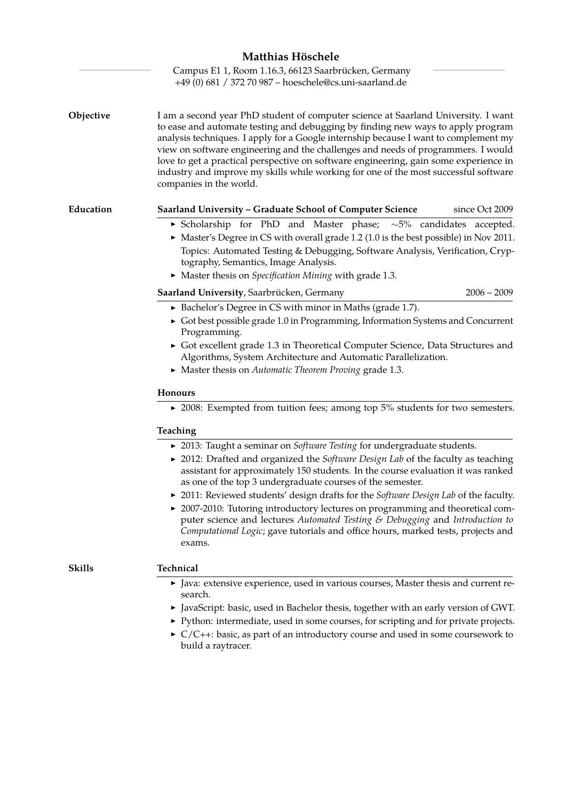|           | Matthias Höschele<br>Campus E1 1, Room 1.16.3, 66123 Saarbrücken, Germany                                                                                                                                                                                                                                                                                                                                                                                                                                                                                    |
|-----------|--------------------------------------------------------------------------------------------------------------------------------------------------------------------------------------------------------------------------------------------------------------------------------------------------------------------------------------------------------------------------------------------------------------------------------------------------------------------------------------------------------------------------------------------------------------|
|           | +49 (0) 681 / 372 70 987 - hoeschele@cs.uni-saarland.de                                                                                                                                                                                                                                                                                                                                                                                                                                                                                                      |
| Objective | I am a second year PhD student of computer science at Saarland University. I want<br>to ease and automate testing and debugging by finding new ways to apply program<br>analysis techniques. I apply for a Google internship because I want to complement my<br>view on software engineering and the challenges and needs of programmers. I would<br>love to get a practical perspective on software engineering, gain some experience in<br>industry and improve my skills while working for one of the most successful software<br>companies in the world. |
| Education | since Oct 2009<br>Saarland University - Graduate School of Computer Science                                                                                                                                                                                                                                                                                                                                                                                                                                                                                  |
|           | Scholarship for PhD and Master phase; $\sim$ 5% candidates accepted.<br>> Master's Degree in CS with overall grade 1.2 (1.0 is the best possible) in Nov 2011.<br>Topics: Automated Testing & Debugging, Software Analysis, Verification, Cryp-<br>tography, Semantics, Image Analysis.<br>• Master thesis on Specification Mining with grade 1.3.                                                                                                                                                                                                           |
|           | $2006 - 2009$<br>Saarland University, Saarbrücken, Germany                                                                                                                                                                                                                                                                                                                                                                                                                                                                                                   |
|           | • Bachelor's Degree in CS with minor in Maths (grade 1.7).<br>• Got best possible grade 1.0 in Programming, Information Systems and Concurrent<br>Programming.<br>Got excellent grade 1.3 in Theoretical Computer Science, Data Structures and<br>Algorithms, System Architecture and Automatic Parallelization.<br>• Master thesis on Automatic Theorem Proving grade 1.3.                                                                                                                                                                                  |
|           | <b>Honours</b>                                                                                                                                                                                                                                                                                                                                                                                                                                                                                                                                               |
|           | ▶ 2008: Exempted from tuition fees; among top $5\%$ students for two semesters.                                                                                                                                                                                                                                                                                                                                                                                                                                                                              |
|           | Teaching                                                                                                                                                                                                                                                                                                                                                                                                                                                                                                                                                     |
|           | ▶ 2013: Taught a seminar on Software Testing for undergraduate students.<br>▶ 2012: Drafted and organized the Software Design Lab of the faculty as teaching<br>assistant for approximately 150 students. In the course evaluation it was ranked<br>as one of the top 3 undergraduate courses of the semester.<br>▶ 2011: Reviewed students' design drafts for the Software Design Lab of the faculty.<br>► 2007-2010: Tutoring introductory lectures on programming and theoretical com-                                                                    |
|           | puter science and lectures Automated Testing & Debugging and Introduction to<br>Computational Logic; gave tutorials and office hours, marked tests, projects and<br>exams.                                                                                                                                                                                                                                                                                                                                                                                   |
| Skills    | Technical                                                                                                                                                                                                                                                                                                                                                                                                                                                                                                                                                    |
|           | • Java: extensive experience, used in various courses, Master thesis and current re-<br>search.                                                                                                                                                                                                                                                                                                                                                                                                                                                              |
|           | I JavaScript: basic, used in Bachelor thesis, together with an early version of GWT.                                                                                                                                                                                                                                                                                                                                                                                                                                                                         |
|           | ▶ Python: intermediate, used in some courses, for scripting and for private projects.                                                                                                                                                                                                                                                                                                                                                                                                                                                                        |
|           | $\triangleright$ $C/C++$ : basic, as part of an introductory course and used in some coursework to<br>build a raytracer.                                                                                                                                                                                                                                                                                                                                                                                                                                     |